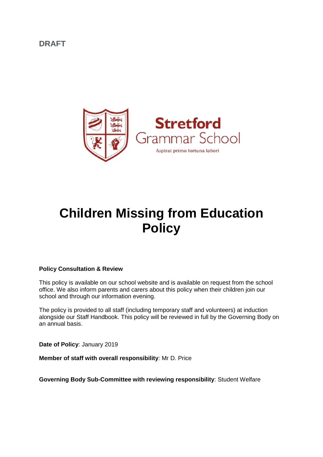**DRAFT**



# **Children Missing from Education Policy**

#### **Policy Consultation & Review**

This policy is available on our school website and is available on request from the school office. We also inform parents and carers about this policy when their children join our school and through our information evening.

The policy is provided to all staff (including temporary staff and volunteers) at induction alongside our Staff Handbook. This policy will be reviewed in full by the Governing Body on an annual basis.

**Date of Policy**: January 2019

**Member of staff with overall responsibility**: Mr D. Price

**Governing Body Sub-Committee with reviewing responsibility**: Student Welfare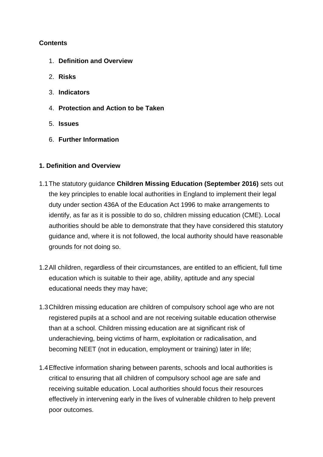## **Contents**

- 1. **[Definition and Overview](http://greatermanchesterscb.proceduresonline.com/chapters/p_ch_missing_educ.html#Definition)**
- 2. **[Risks](http://greatermanchesterscb.proceduresonline.com/chapters/p_ch_missing_educ.html#risks)**
- 3. **[Indicators](http://greatermanchesterscb.proceduresonline.com/chapters/p_ch_missing_educ.html#Indicators)**
- 4. **[Protection and Action to be Taken](http://greatermanchesterscb.proceduresonline.com/chapters/p_ch_missing_educ.html#Protection)**
- 5. **[Issues](http://greatermanchesterscb.proceduresonline.com/chapters/p_ch_missing_educ.html#Issues)**
- 6. **[Further Information](http://greatermanchesterscb.proceduresonline.com/chapters/p_ch_missing_educ.html#Further)**

## **1. Definition and Overview**

- 1.1The statutory guidance **[Children Missing Education \(September 2016\)](https://www.gov.uk/government/publications/children-missing-education)** sets out the key principles to enable local authorities in England to implement their legal duty under section 436A of the Education Act 1996 to make arrangements to identify, as far as it is possible to do so, children missing education (CME). Local authorities should be able to demonstrate that they have considered this statutory guidance and, where it is not followed, the local authority should have reasonable grounds for not doing so.
- 1.2All children, regardless of their circumstances, are entitled to an efficient, full time education which is suitable to their age, ability, aptitude and any special educational needs they may have;
- 1.3Children missing education are children of compulsory school age who are not registered pupils at a school and are not receiving suitable education otherwise than at a school. Children missing education are at significant risk of underachieving, being victims of harm, exploitation or radicalisation, and becoming NEET (not in education, employment or training) later in life;
- 1.4Effective information sharing between parents, schools and local authorities is critical to ensuring that all children of compulsory school age are safe and receiving suitable education. Local authorities should focus their resources effectively in intervening early in the lives of vulnerable children to help prevent poor outcomes.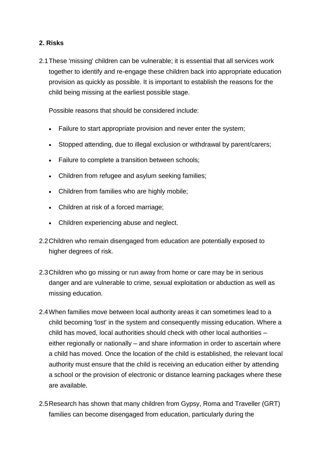## **2. Risks**

2.1These 'missing' children can be vulnerable; it is essential that all services work together to identify and re-engage these children back into appropriate education provision as quickly as possible. It is important to establish the reasons for the child being missing at the earliest possible stage.

Possible reasons that should be considered include:

- Failure to start appropriate provision and never enter the system;
- Stopped attending, due to illegal exclusion or withdrawal by parent/carers;
- Failure to complete a transition between schools;
- Children from refugee and asylum seeking families;
- Children from families who are highly mobile;
- Children at risk of a forced marriage;
- Children experiencing abuse and neglect.
- 2.2Children who remain disengaged from education are potentially exposed to higher degrees of risk.
- 2.3Children who go missing or run away from home or care may be in serious danger and are vulnerable to crime, sexual exploitation or abduction as well as missing education.
- 2.4When families move between local authority areas it can sometimes lead to a child becoming 'lost' in the system and consequently missing education. Where a child has moved, local authorities should check with other local authorities – either regionally or nationally – and share information in order to ascertain where a child has moved. Once the location of the child is established, the relevant local authority must ensure that the child is receiving an education either by attending a school or the provision of electronic or distance learning packages where these are available.
- 2.5Research has shown that many children from Gypsy, Roma and Traveller (GRT) families can become disengaged from education, particularly during the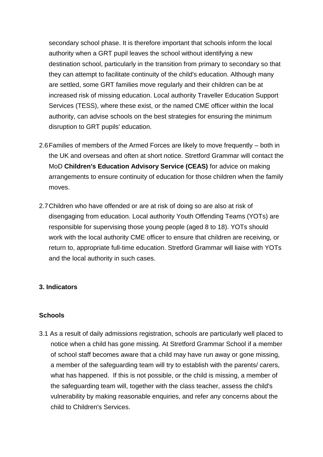secondary school phase. It is therefore important that schools inform the local authority when a GRT pupil leaves the school without identifying a new destination school, particularly in the transition from primary to secondary so that they can attempt to facilitate continuity of the child's education. Although many are settled, some GRT families move regularly and their children can be at increased risk of missing education. Local authority Traveller Education Support Services (TESS), where these exist, or the named CME officer within the local authority, can advise schools on the best strategies for ensuring the minimum disruption to GRT pupils' education.

- 2.6Families of members of the Armed Forces are likely to move frequently both in the UK and overseas and often at short notice. Stretford Grammar will contact the MoD **[Children's Education Advisory Service \(CEAS\)](https://www.gov.uk/guidance/childrens-education-advisory-service)** for advice on making arrangements to ensure continuity of education for those children when the family moves.
- 2.7Children who have offended or are at risk of doing so are also at risk of disengaging from education. Local authority Youth Offending Teams (YOTs) are responsible for supervising those young people (aged 8 to 18). YOTs should work with the local authority CME officer to ensure that children are receiving, or return to, appropriate full-time education. Stretford Grammar will liaise with YOTs and the local authority in such cases.

### **3. Indicators**

### **Schools**

3.1 As a result of daily admissions registration, schools are particularly well placed to notice when a child has gone missing. At Stretford Grammar School if a member of school staff becomes aware that a child may have run away or gone missing, a member of the safeguarding team will try to establish with the parents/ carers, what has happened. If this is not possible, or the child is missing, a member of the safeguarding team will, together with the class teacher, assess the child's vulnerability by making reasonable enquiries, and refer any concerns about the child to Children's Services.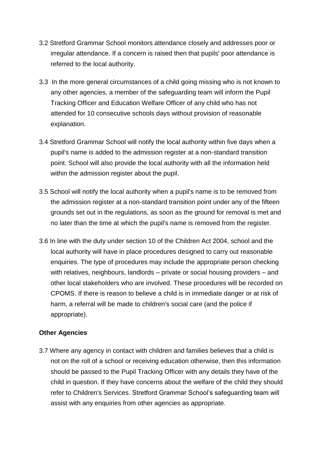- 3.2 Stretford Grammar School monitors attendance closely and addresses poor or irregular attendance. If a concern is raised then that pupils' poor attendance is referred to the local authority.
- 3.3 In the more general circumstances of a child going missing who is not known to any other agencies, a member of the safeguarding team will inform the Pupil Tracking Officer and Education Welfare Officer of any child who has not attended for 10 consecutive schools days without provision of reasonable explanation.
- 3.4 Stretford Grammar School will notify the local authority within five days when a pupil's name is added to the admission register at a non-standard transition point. School will also provide the local authority with all the information held within the admission register about the pupil.
- 3.5 School will notify the local authority when a pupil's name is to be removed from the admission register at a non-standard transition point under any of the fifteen grounds set out in the regulations, as soon as the ground for removal is met and no later than the time at which the pupil's name is removed from the register.
- 3.6 In line with the duty under section 10 of the Children Act 2004, school and the local authority will have in place procedures designed to carry out reasonable enquiries. The type of procedures may include the appropriate person checking with relatives, neighbours, landlords – private or social housing providers – and other local stakeholders who are involved. These procedures will be recorded on CPOMS. If there is reason to believe a child is in immediate danger or at risk of harm, a referral will be made to children's social care (and the police if appropriate).

## **Other Agencies**

3.7 Where any agency in contact with children and families believes that a child is not on the roll of a school or receiving education otherwise, then this information should be passed to the Pupil Tracking Officer with any details they have of the child in question. If they have concerns about the welfare of the child they should refer to Children's Services. Stretford Grammar School's safeguarding team will assist with any enquiries from other agencies as appropriate.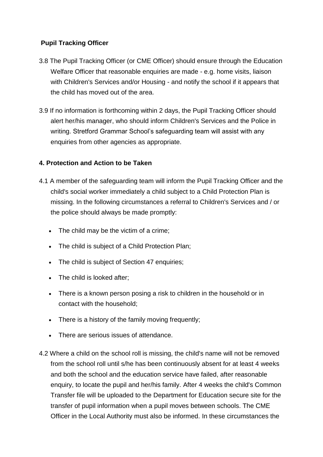## **Pupil Tracking Officer**

- 3.8 The Pupil Tracking Officer (or CME Officer) should ensure through the Education Welfare Officer that reasonable enquiries are made - e.g. home visits, liaison with Children's Services and/or Housing - and notify the school if it appears that the child has moved out of the area.
- 3.9 If no information is forthcoming within 2 days, the Pupil Tracking Officer should alert her/his manager, who should inform Children's Services and the Police in writing. Stretford Grammar School's safeguarding team will assist with any enquiries from other agencies as appropriate.

## **4. Protection and Action to be Taken**

- 4.1 A member of the safeguarding team will inform the Pupil Tracking Officer and the child's social worker immediately a child subject to a Child Protection Plan is missing. In the following circumstances a referral to Children's Services and / or the police should always be made promptly:
	- The child may be the victim of a crime;
	- The child is subject of a Child Protection Plan;
	- The child is subject of Section 47 enquiries:
	- The child is looked after;
	- There is a known person posing a risk to children in the household or in contact with the household;
	- There is a history of the family moving frequently;
	- There are serious issues of attendance.
- 4.2 Where a child on the school roll is missing, the child's name will not be removed from the school roll until s/he has been continuously absent for at least 4 weeks and both the school and the education service have failed, after reasonable enquiry, to locate the pupil and her/his family. After 4 weeks the child's Common Transfer file will be uploaded to the Department for Education secure site for the transfer of pupil information when a pupil moves between schools. The CME Officer in the Local Authority must also be informed. In these circumstances the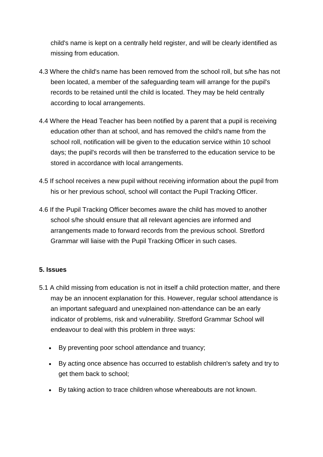child's name is kept on a centrally held register, and will be clearly identified as missing from education.

- 4.3 Where the child's name has been removed from the school roll, but s/he has not been located, a member of the safeguarding team will arrange for the pupil's records to be retained until the child is located. They may be held centrally according to local arrangements.
- 4.4 Where the Head Teacher has been notified by a parent that a pupil is receiving education other than at school, and has removed the child's name from the school roll, notification will be given to the education service within 10 school days; the pupil's records will then be transferred to the education service to be stored in accordance with local arrangements.
- 4.5 If school receives a new pupil without receiving information about the pupil from his or her previous school, school will contact the Pupil Tracking Officer.
- 4.6 If the Pupil Tracking Officer becomes aware the child has moved to another school s/he should ensure that all relevant agencies are informed and arrangements made to forward records from the previous school. Stretford Grammar will liaise with the Pupil Tracking Officer in such cases.

## **5. Issues**

- 5.1 A child missing from education is not in itself a child protection matter, and there may be an innocent explanation for this. However, regular school attendance is an important safeguard and unexplained non-attendance can be an early indicator of problems, risk and vulnerability. Stretford Grammar School will endeavour to deal with this problem in three ways:
	- By preventing poor school attendance and truancy;
	- By acting once absence has occurred to establish children's safety and try to get them back to school;
	- By taking action to trace children whose whereabouts are not known.